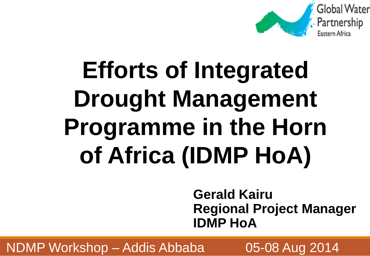

# **Efforts of Integrated Drought Management Programme in the Horn of Africa (IDMP HoA)**

**Gerald Kairu Regional Project Manager IDMP HoA**

NDMP Workshop – Addis Abbaba  $\sim$  05-08 Aug 2014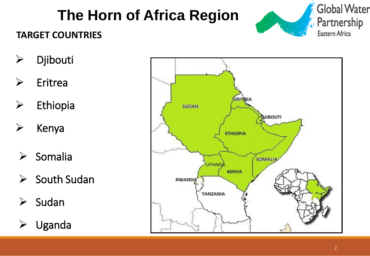# **The Horn of Africa Region**



#### **TARGET COUNTRIES**

- Djibouti
- $\triangleright$  Eritrea
- $\triangleright$  Ethiopia
- $\triangleright$  Kenya
- $\triangleright$  Somalia
- i<br>L  $\triangleright$  South Sudan
- i<br>L  $\triangleright$  Sudan
- i<br>L  $\triangleright$  Uganda

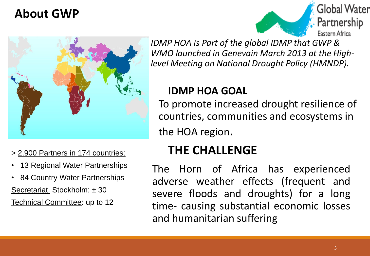## **About GWP**





- 13 Regional Water Partnerships
- 84 Country Water Partnerships Secretariat, Stockholm: ± 30 Technical Committee: up to 12

*IDMP HOA is Part of the global IDMP that GWP & WMO launched in Genevain March 2013 at the Highlevel Meeting on National Drought Policy (HMNDP).* 

#### **IDMP HOA GOAL**

To promote increased drought resilience of countries, communities and ecosystems in the HOA region.

### > 2,900 Partners in 174 countries: **THE CHALLENGE**

The Horn of Africa has experienced adverse weather effects (frequent and severe floods and droughts) for a long time- causing substantial economic losses and humanitarian suffering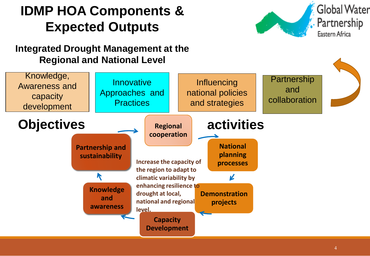# **IDMP HOA Components & Expected Outputs**



#### **Integrated Drought Management at the Regional and National Level**

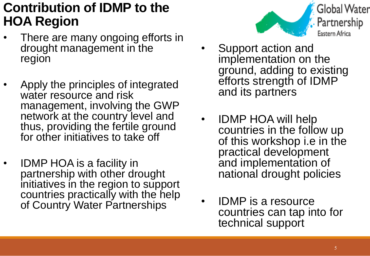## **Contribution of IDMP to the HOA Region**

- There are many ongoing efforts in drought management in the region
- Apply the principles of integrated water resource and risk management, involving the GWP network at the country level and thus, providing the fertile ground for other initiatives to take off
- IDMP HOA is a facility in partnership with other drought initiatives in the region to support countries practically with the help of Country Water Partnerships



- Support action and implementation on the ground, adding to existing efforts strength of IDMP and its partners
- IDMP HOA will help countries in the follow up of this workshop i.e in the practical development and implementation of national drought policies
- IDMP is a resource countries can tap into for technical support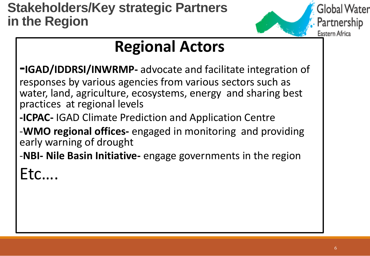

# **Regional Actors**

- **-IGAD/IDDRSI/INWRMP-** advocate and facilitate integration of responses by various agencies from various sectors such as water, land, agriculture, ecosystems, energy and sharing best practices at regional levels
- **-ICPAC-** IGAD Climate Prediction and Application Centre
- -**WMO regional offices-** engaged in monitoring and providing early warning of drought
- -**NBI- Nile Basin Initiative-** engage governments in the region

Etc….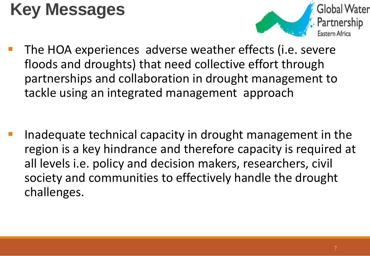# **Key Messages**



 The HOA experiences adverse weather effects (i.e. severe floods and droughts) that need collective effort through partnerships and collaboration in drought management to tackle using an integrated management approach

 Inadequate technical capacity in drought management in the region is a key hindrance and therefore capacity is required at all levels i.e. policy and decision makers, researchers, civil society and communities to effectively handle the drought challenges.